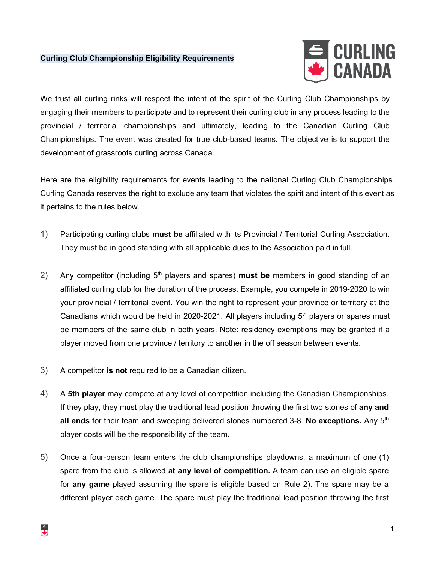## **Curling Club Championship Eligibility Requirements**



We trust all curling rinks will respect the intent of the spirit of the Curling Club Championships by engaging their members to participate and to represent their curling club in any process leading to the provincial / territorial championships and ultimately, leading to the Canadian Curling Club Championships. The event was created for true club-based teams. The objective is to support the development of grassroots curling across Canada.

Here are the eligibility requirements for events leading to the national Curling Club Championships. Curling Canada reserves the right to exclude any team that violates the spirit and intent of this event as it pertains to the rules below.

- 1) Participating curling clubs **must be** affiliated with its Provincial / Territorial Curling Association. They must be in good standing with all applicable dues to the Association paid in full.
- 2) Any competitor (including 5<sup>th</sup> players and spares) **must be** members in good standing of an affiliated curling club for the duration of the process. Example, you compete in 2019-2020 to win your provincial / territorial event. You win the right to represent your province or territory at the Canadians which would be held in 2020-2021. All players including  $5<sup>th</sup>$  players or spares must be members of the same club in both years. Note: residency exemptions may be granted if a player moved from one province / territory to another in the off season between events.
- 3) A competitor **is not** required to be a Canadian citizen.
- 4) A **5th player** may compete at any level of competition including the Canadian Championships. If they play, they must play the traditional lead position throwing the first two stones of **any and all ends** for their team and sweeping delivered stones numbered 3-8. **No exceptions.** Any 5<sup>th</sup> player costs will be the responsibility of the team.
- 5) Once a four-person team enters the club championships playdowns, a maximum of one (1) spare from the club is allowed **at any level of competition.** A team can use an eligible spare for **any game** played assuming the spare is eligible based on Rule 2). The spare may be a different player each game. The spare must play the traditional lead position throwing the first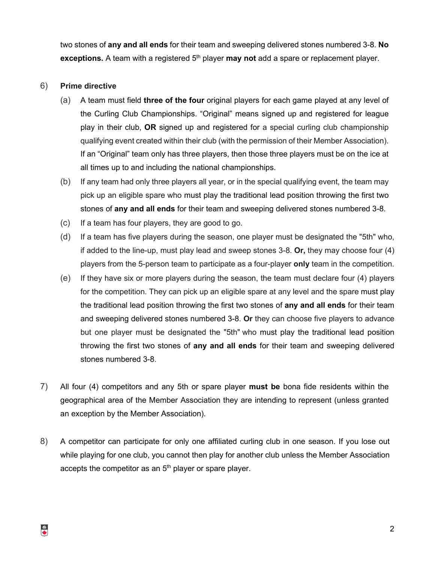two stones of **any and all ends** for their team and sweeping delivered stones numbered 3-8. **No**  exceptions. A team with a registered 5<sup>th</sup> player may not add a spare or replacement player.

## 6) **Prime directive**

- (a) A team must field **three of the four** original players for each game played at any level of the Curling Club Championships. "Original" means signed up and registered for league play in their club, **OR** signed up and registered for a special curling club championship qualifying event created within their club (with the permission of their Member Association). If an "Original" team only has three players, then those three players must be on the ice at all times up to and including the national championships.
- (b) If any team had only three players all year, or in the special qualifying event, the team may pick up an eligible spare who must play the traditional lead position throwing the first two stones of **any and all ends** for their team and sweeping delivered stones numbered 3-8.
- (c) If a team has four players, they are good to go.
- (d) If a team has five players during the season, one player must be designated the "5th" who, if added to the line-up, must play lead and sweep stones 3-8. **Or,** they may choose four (4) players from the 5-person team to participate as a four-player **only** team in the competition.
- (e) If they have six or more players during the season, the team must declare four (4) players for the competition. They can pick up an eligible spare at any level and the spare must play the traditional lead position throwing the first two stones of **any and all ends** for their team and sweeping delivered stones numbered 3-8. **Or** they can choose five players to advance but one player must be designated the "5th" who must play the traditional lead position throwing the first two stones of **any and all ends** for their team and sweeping delivered stones numbered 3-8.
- 7) All four (4) competitors and any 5th or spare player **must be** bona fide residents within the geographical area of the Member Association they are intending to represent (unless granted an exception by the Member Association).
- 8) A competitor can participate for only one affiliated curling club in one season. If you lose out while playing for one club, you cannot then play for another club unless the Member Association accepts the competitor as an  $5<sup>th</sup>$  player or spare player.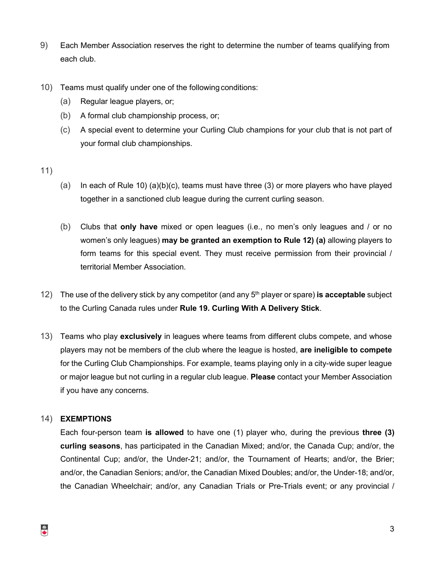- 9) Each Member Association reserves the right to determine the number of teams qualifying from each club.
- 10) Teams must qualify under one of the following conditions:
	- (a) Regular league players, or;
	- (b) A formal club championship process, or;
	- (c) A special event to determine your Curling Club champions for your club that is not part of your formal club championships.

#### 11)

- (a) In each of Rule 10) (a)(b)(c), teams must have three (3) or more players who have played together in a sanctioned club league during the current curling season.
- (b) Clubs that **only have** mixed or open leagues (i.e., no men's only leagues and / or no women's only leagues) **may be granted an exemption to Rule 12) (a)** allowing players to form teams for this special event. They must receive permission from their provincial / territorial Member Association.
- 12) The use of the delivery stick by any competitor (and any 5th player or spare) **is acceptable** subject to the Curling Canada rules under **Rule 19. Curling With A Delivery Stick**.
- 13) Teams who play **exclusively** in leagues where teams from different clubs compete, and whose players may not be members of the club where the league is hosted, **are ineligible to compete**  for the Curling Club Championships. For example, teams playing only in a city-wide super league or major league but not curling in a regular club league. **Please** contact your Member Association if you have any concerns.

## 14) **EXEMPTIONS**

Each four-person team **is allowed** to have one (1) player who, during the previous **three (3) curling seasons**, has participated in the Canadian Mixed; and/or, the Canada Cup; and/or, the Continental Cup; and/or, the Under-21; and/or, the Tournament of Hearts; and/or, the Brier; and/or, the Canadian Seniors; and/or, the Canadian Mixed Doubles; and/or, the Under-18; and/or, the Canadian Wheelchair; and/or, any Canadian Trials or Pre-Trials event; or any provincial /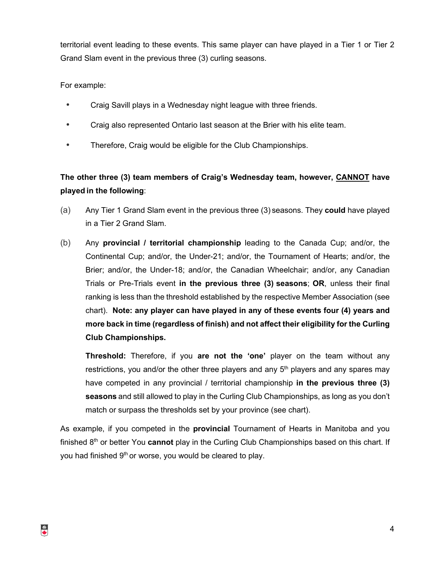territorial event leading to these events. This same player can have played in a Tier 1 or Tier 2 Grand Slam event in the previous three (3) curling seasons.

For example:

- Craig Savill plays in a Wednesday night league with three friends.
- Craig also represented Ontario last season at the Brier with his elite team.
- Therefore, Craig would be eligible for the Club Championships.

# **The other three (3) team members of Craig's Wednesday team, however, CANNOT have played in the following**:

- (a) Any Tier 1 Grand Slam event in the previous three (3) seasons. They **could** have played in a Tier 2 Grand Slam.
- (b) Any **provincial / territorial championship** leading to the Canada Cup; and/or, the Continental Cup; and/or, the Under-21; and/or, the Tournament of Hearts; and/or, the Brier; and/or, the Under-18; and/or, the Canadian Wheelchair; and/or, any Canadian Trials or Pre-Trials event **in the previous three (3) seasons**; **OR**, unless their final ranking is less than the threshold established by the respective Member Association (see chart). **Note: any player can have played in any of these events four (4) years and more back in time (regardless of finish) and not affect their eligibility for the Curling Club Championships.**

**Threshold:** Therefore, if you **are not the 'one'** player on the team without any restrictions, you and/or the other three players and any  $5<sup>th</sup>$  players and any spares may have competed in any provincial / territorial championship **in the previous three (3) seasons** and still allowed to play in the Curling Club Championships, as long as you don't match or surpass the thresholds set by your province (see chart).

As example, if you competed in the **provincial** Tournament of Hearts in Manitoba and you finished 8<sup>th</sup> or better You **cannot** play in the Curling Club Championships based on this chart. If you had finished 9<sup>th</sup> or worse, you would be cleared to play.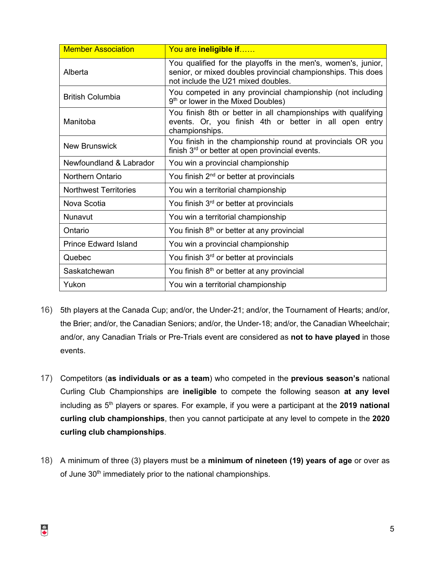| <b>Member Association</b>    | You are ineligible if                                                                                                                                               |
|------------------------------|---------------------------------------------------------------------------------------------------------------------------------------------------------------------|
| Alberta                      | You qualified for the playoffs in the men's, women's, junior,<br>senior, or mixed doubles provincial championships. This does<br>not include the U21 mixed doubles. |
| <b>British Columbia</b>      | You competed in any provincial championship (not including<br>9 <sup>th</sup> or lower in the Mixed Doubles)                                                        |
| Manitoba                     | You finish 8th or better in all championships with qualifying<br>events. Or, you finish 4th or better in all open entry<br>championships.                           |
| <b>New Brunswick</b>         | You finish in the championship round at provincials OR you<br>finish 3 <sup>rd</sup> or better at open provincial events.                                           |
| Newfoundland & Labrador      | You win a provincial championship                                                                                                                                   |
| <b>Northern Ontario</b>      | You finish 2 <sup>nd</sup> or better at provincials                                                                                                                 |
| <b>Northwest Territories</b> | You win a territorial championship                                                                                                                                  |
| Nova Scotia                  | You finish 3 <sup>rd</sup> or better at provincials                                                                                                                 |
| Nunavut                      | You win a territorial championship                                                                                                                                  |
| Ontario                      | You finish 8 <sup>th</sup> or better at any provincial                                                                                                              |
| <b>Prince Edward Island</b>  | You win a provincial championship                                                                                                                                   |
| Quebec                       | You finish $3rd$ or better at provincials                                                                                                                           |
| Saskatchewan                 | You finish 8 <sup>th</sup> or better at any provincial                                                                                                              |
| Yukon                        | You win a territorial championship                                                                                                                                  |

- 16) 5th players at the Canada Cup; and/or, the Under-21; and/or, the Tournament of Hearts; and/or, the Brier; and/or, the Canadian Seniors; and/or, the Under-18; and/or, the Canadian Wheelchair; and/or, any Canadian Trials or Pre-Trials event are considered as **not to have played** in those events.
- 17) Competitors (**as individuals or as a team**) who competed in the **previous season's** national Curling Club Championships are **ineligible** to compete the following season **at any level**  including as 5th players or spares. For example, if you were a participant at the **2019 national curling club championships**, then you cannot participate at any level to compete in the **2020 curling club championships**.
- 18) A minimum of three (3) players must be a **minimum of nineteen (19) years of age** or over as of June 30<sup>th</sup> immediately prior to the national championships.